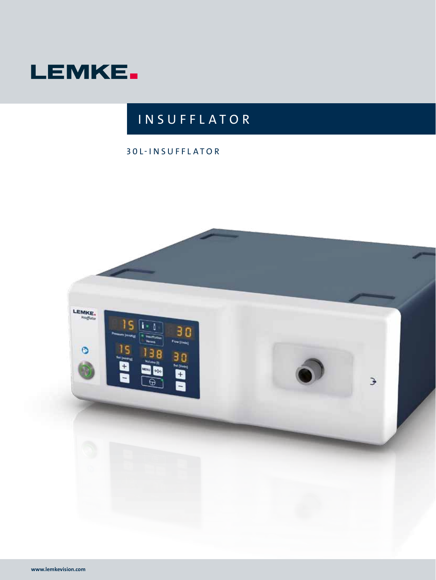

# **INSUFFLATOR**

### 30L-INSUFFLATOR

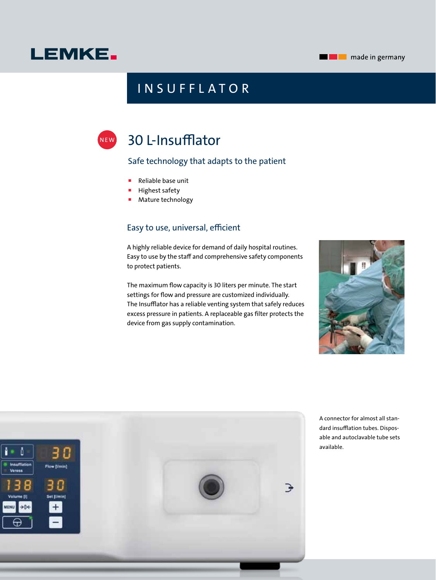### **Example 2** made in germany

# **LEMKE.**

## **INSUFFLATOR**

# 30 L-Insufflator

NE W

### Safe technology that adapts to the patient

- Reliable base unit
- **Highest safety**
- **Mature technology**

### Easy to use, universal, efficient

A highly reliable device for demand of daily hospital routines. Easy to use by the staff and comprehensive safety components to protect patients.

The maximum flow capacity is 30 liters per minute. The start settings for flow and pressure are customized individually. The Insufflator has a reliable venting system that safely reduces excess pressure in patients. A replaceable gas filter protects the device from gas supply contamination.





A connector for almost all standard insufflation tubes. Disposable and autoclavable tube sets available.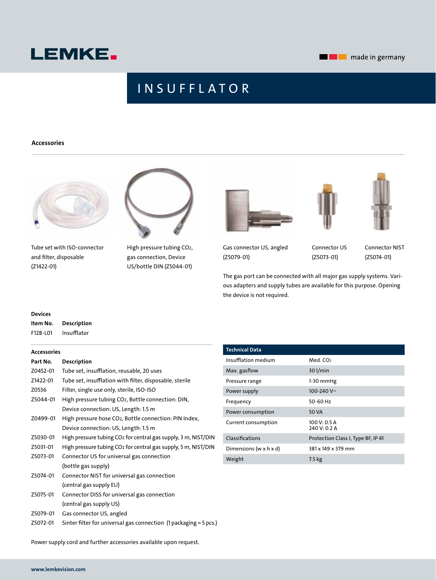

## **INSUFFLATOR**

#### **Accessories**



Tube set with ISO-connector and filter, disposable (Z1422-01)



High pressure tubing CO2, gas connection, Device US/bottle DIN (Z5044-01)





Gas connector US, angled (Z5079-01)

Connector US (Z5073-01)

Connector NIST (Z5074-01)

The gas port can be connected with all major gas supply systems. Various adapters and supply tubes are available for this purpose. Opening the device is not required.

| <b>Devices</b> |                    |
|----------------|--------------------|
| Item No.       | <b>Description</b> |
| F128-L01       | Insuffiator        |

#### **Accessories**

| Part No. | <b>Description</b>                                                 |
|----------|--------------------------------------------------------------------|
| Z0452-01 | Tube set, insufflation, reusable, 20 uses                          |
| Z1422-01 | Tube set, insufflation with filter, disposable, sterile            |
| Z0536    | Filter, single use only, sterile, ISO-ISO                          |
| Z5044-01 | High pressure tubing CO <sub>2</sub> , Bottle connection: DIN,     |
|          | Device connection: US, Length: 1.5 m                               |
| Z0499-01 | High pressure hose CO <sub>2</sub> , Bottle connection: PIN Index, |
|          | Device connection: US, Length: 1.5 m                               |
| Z5030-01 | High pressure tubing CO2 for central gas supply, 3 m, NIST/DIN     |
| Z5031-01 | High pressure tubing CO2 for central gas supply, 5 m, NIST/DIN     |
| Z5073-01 | Connector US for universal gas connection                          |
|          | (bottle gas supply)                                                |
| Z5074-01 | Connector NIST for universal gas connection                        |
|          | (central gas supply EU)                                            |
| Z5075-01 | Connector DISS for universal gas connection                        |
|          | (central gas supply US)                                            |
| Z5079-01 | Gas connector US, angled                                           |
| Z5072-01 | Sinter filter for universal gas connection (1 packaging = 5 pcs.)  |

| <b>Technical Data</b>      |                                    |
|----------------------------|------------------------------------|
| Insufflation medium        | Med. CO <sub>2</sub>               |
| Max. gasflow               | 30 l/min                           |
| Pressure range             | $1-30$ mmHg                        |
| Power supply               | 100-240 V $\sim$                   |
| Frequency                  | 50-60 Hz                           |
| Power consumption          | 50 VA                              |
| Current consumption        | 100 V: 0.5 A<br>240 V: 0.2 A       |
| Classifications            | Protection Class I, Type BF, IP 41 |
| Dimensions (w $x$ h $x$ d) | 381 x 149 x 379 mm                 |
| Weight                     | 7.5 kg                             |
|                            |                                    |

Power supply cord and further accessories available upon request.